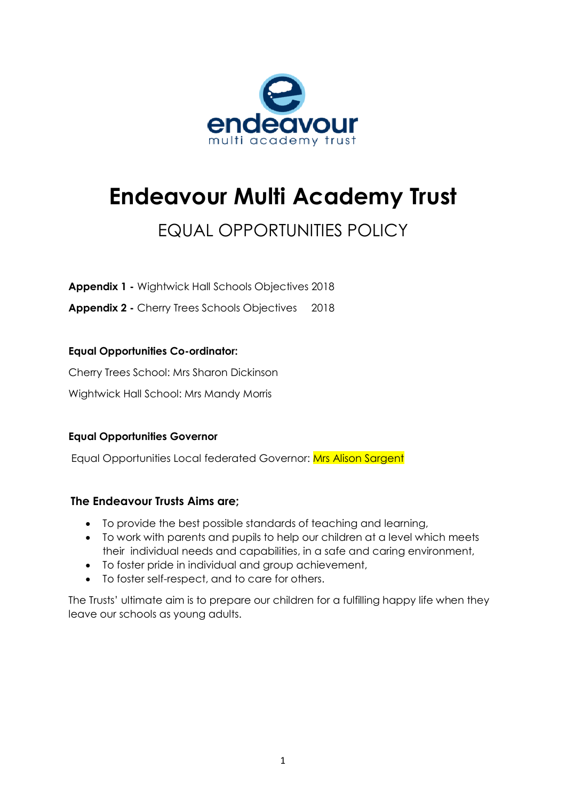

# **Endeavour Multi Academy Trust**

# EQUAL OPPORTUNITIES POLICY

**Appendix 1 -** Wightwick Hall Schools Objectives 2018

**Appendix 2 -** Cherry Trees Schools Objectives 2018

## **Equal Opportunities Co-ordinator:**

Cherry Trees School: Mrs Sharon Dickinson

Wightwick Hall School: Mrs Mandy Morris

### **Equal Opportunities Governor**

Equal Opportunities Local federated Governor: Mrs Alison Sargent

### **The Endeavour Trusts Aims are;**

- To provide the best possible standards of teaching and learning,
- To work with parents and pupils to help our children at a level which meets their individual needs and capabilities, in a safe and caring environment,
- To foster pride in individual and group achievement,
- To foster self-respect, and to care for others.

The Trusts' ultimate aim is to prepare our children for a fulfilling happy life when they leave our schools as young adults.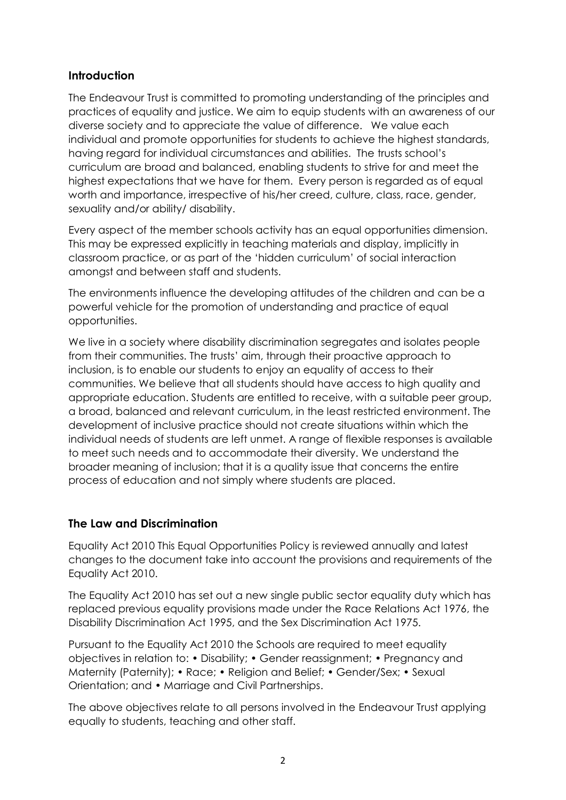### **Introduction**

The Endeavour Trust is committed to promoting understanding of the principles and practices of equality and justice. We aim to equip students with an awareness of our diverse society and to appreciate the value of difference. We value each individual and promote opportunities for students to achieve the highest standards, having regard for individual circumstances and abilities. The trusts school's curriculum are broad and balanced, enabling students to strive for and meet the highest expectations that we have for them. Every person is regarded as of equal worth and importance, irrespective of his/her creed, culture, class, race, gender, sexuality and/or ability/ disability.

Every aspect of the member schools activity has an equal opportunities dimension. This may be expressed explicitly in teaching materials and display, implicitly in classroom practice, or as part of the 'hidden curriculum' of social interaction amongst and between staff and students.

The environments influence the developing attitudes of the children and can be a powerful vehicle for the promotion of understanding and practice of equal opportunities.

We live in a society where disability discrimination segregates and isolates people from their communities. The trusts' aim, through their proactive approach to inclusion, is to enable our students to enjoy an equality of access to their communities. We believe that all students should have access to high quality and appropriate education. Students are entitled to receive, with a suitable peer group, a broad, balanced and relevant curriculum, in the least restricted environment. The development of inclusive practice should not create situations within which the individual needs of students are left unmet. A range of flexible responses is available to meet such needs and to accommodate their diversity. We understand the broader meaning of inclusion; that it is a quality issue that concerns the entire process of education and not simply where students are placed.

# **The Law and Discrimination**

Equality Act 2010 This Equal Opportunities Policy is reviewed annually and latest changes to the document take into account the provisions and requirements of the Equality Act 2010.

The Equality Act 2010 has set out a new single public sector equality duty which has replaced previous equality provisions made under the Race Relations Act 1976, the Disability Discrimination Act 1995, and the Sex Discrimination Act 1975.

Pursuant to the Equality Act 2010 the Schools are required to meet equality objectives in relation to: • Disability; • Gender reassignment; • Pregnancy and Maternity (Paternity); • Race; • Religion and Belief; • Gender/Sex; • Sexual Orientation; and • Marriage and Civil Partnerships.

The above objectives relate to all persons involved in the Endeavour Trust applying equally to students, teaching and other staff.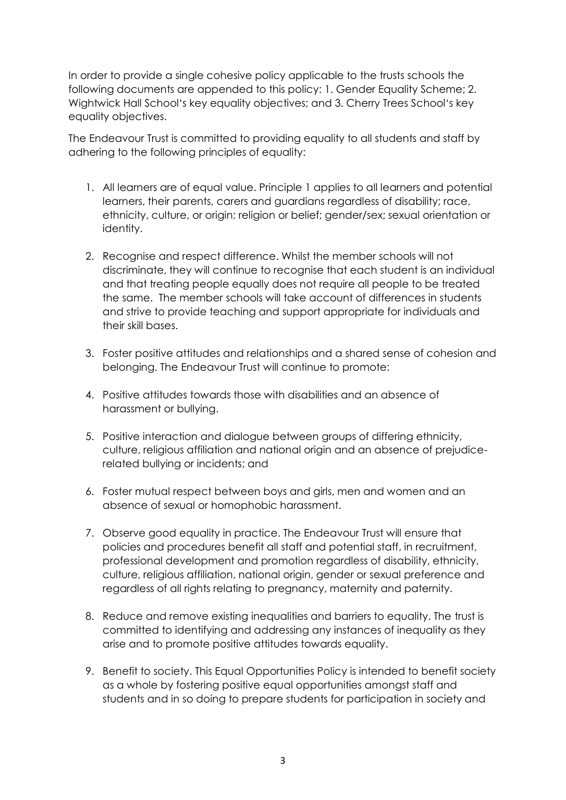In order to provide a single cohesive policy applicable to the trusts schools the following documents are appended to this policy: 1. Gender Equality Scheme; 2. Wightwick Hall School's key equality objectives; and 3. Cherry Trees School's key equality objectives.

The Endeavour Trust is committed to providing equality to all students and staff by adhering to the following principles of equality:

- 1. All learners are of equal value. Principle 1 applies to all learners and potential learners, their parents, carers and guardians regardless of disability; race, ethnicity, culture, or origin; religion or belief; gender/sex; sexual orientation or identity.
- 2. Recognise and respect difference. Whilst the member schools will not discriminate, they will continue to recognise that each student is an individual and that treating people equally does not require all people to be treated the same. The member schools will take account of differences in students and strive to provide teaching and support appropriate for individuals and their skill bases.
- 3. Foster positive attitudes and relationships and a shared sense of cohesion and belonging. The Endeavour Trust will continue to promote:
- 4. Positive attitudes towards those with disabilities and an absence of harassment or bullying.
- 5. Positive interaction and dialogue between groups of differing ethnicity, culture, religious affiliation and national origin and an absence of prejudicerelated bullying or incidents; and
- 6. Foster mutual respect between boys and girls, men and women and an absence of sexual or homophobic harassment.
- 7. Observe good equality in practice. The Endeavour Trust will ensure that policies and procedures benefit all staff and potential staff, in recruitment, professional development and promotion regardless of disability, ethnicity, culture, religious affiliation, national origin, gender or sexual preference and regardless of all rights relating to pregnancy, maternity and paternity.
- 8. Reduce and remove existing inequalities and barriers to equality. The trust is committed to identifying and addressing any instances of inequality as they arise and to promote positive attitudes towards equality.
- 9. Benefit to society. This Equal Opportunities Policy is intended to benefit society as a whole by fostering positive equal opportunities amongst staff and students and in so doing to prepare students for participation in society and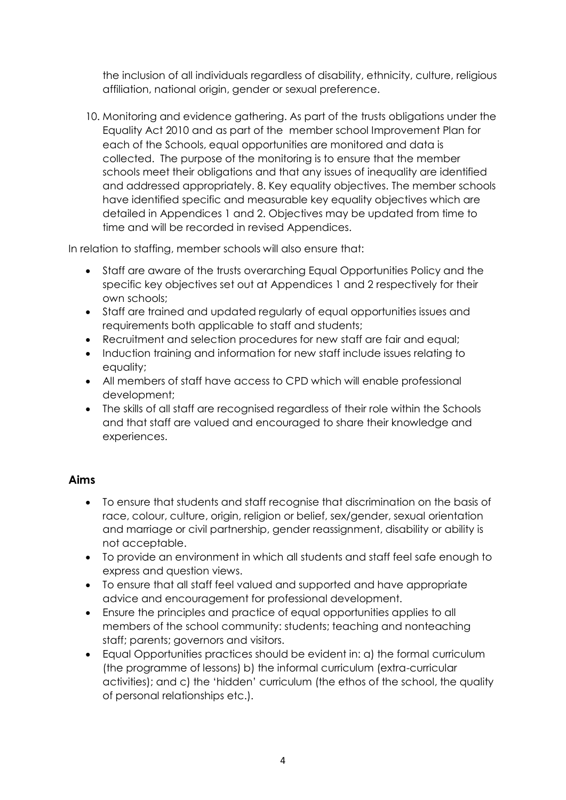the inclusion of all individuals regardless of disability, ethnicity, culture, religious affiliation, national origin, gender or sexual preference.

10. Monitoring and evidence gathering. As part of the trusts obligations under the Equality Act 2010 and as part of the member school Improvement Plan for each of the Schools, equal opportunities are monitored and data is collected. The purpose of the monitoring is to ensure that the member schools meet their obligations and that any issues of inequality are identified and addressed appropriately. 8. Key equality objectives. The member schools have identified specific and measurable key equality objectives which are detailed in Appendices 1 and 2. Objectives may be updated from time to time and will be recorded in revised Appendices.

In relation to staffing, member schools will also ensure that:

- Staff are aware of the trusts overarching Equal Opportunities Policy and the specific key objectives set out at Appendices 1 and 2 respectively for their own schools;
- Staff are trained and updated regularly of equal opportunities issues and requirements both applicable to staff and students;
- Recruitment and selection procedures for new staff are fair and equal;
- Induction training and information for new staff include issues relating to equality;
- All members of staff have access to CPD which will enable professional development;
- The skills of all staff are recognised regardless of their role within the Schools and that staff are valued and encouraged to share their knowledge and experiences.

### **Aims**

- To ensure that students and staff recognise that discrimination on the basis of race, colour, culture, origin, religion or belief, sex/gender, sexual orientation and marriage or civil partnership, gender reassignment, disability or ability is not acceptable.
- To provide an environment in which all students and staff feel safe enough to express and question views.
- To ensure that all staff feel valued and supported and have appropriate advice and encouragement for professional development.
- Ensure the principles and practice of equal opportunities applies to all members of the school community: students; teaching and nonteaching staff; parents; governors and visitors.
- Equal Opportunities practices should be evident in: a) the formal curriculum (the programme of lessons) b) the informal curriculum (extra-curricular activities); and c) the 'hidden' curriculum (the ethos of the school, the quality of personal relationships etc.).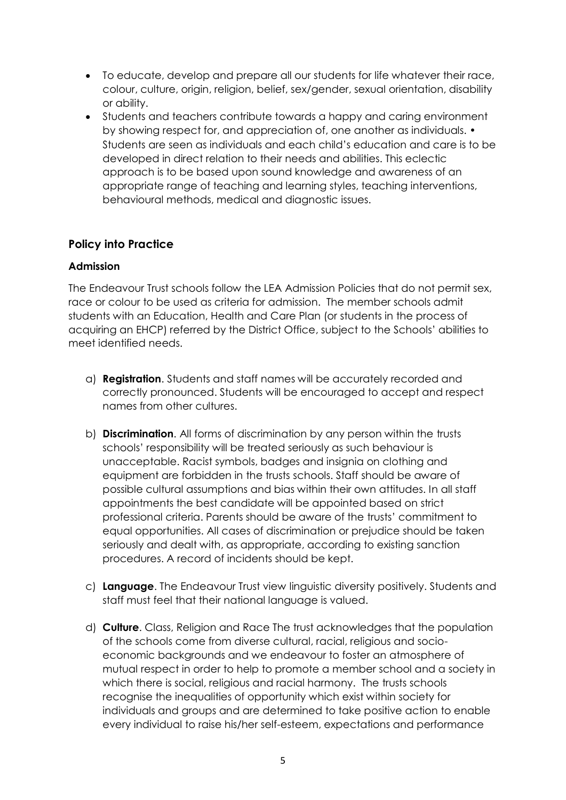- To educate, develop and prepare all our students for life whatever their race, colour, culture, origin, religion, belief, sex/gender, sexual orientation, disability or ability.
- Students and teachers contribute towards a happy and caring environment by showing respect for, and appreciation of, one another as individuals. • Students are seen as individuals and each child's education and care is to be developed in direct relation to their needs and abilities. This eclectic approach is to be based upon sound knowledge and awareness of an appropriate range of teaching and learning styles, teaching interventions, behavioural methods, medical and diagnostic issues.

### **Policy into Practice**

#### **Admission**

The Endeavour Trust schools follow the LEA Admission Policies that do not permit sex, race or colour to be used as criteria for admission. The member schools admit students with an Education, Health and Care Plan (or students in the process of acquiring an EHCP) referred by the District Office, subject to the Schools' abilities to meet identified needs.

- a) **Registration**. Students and staff names will be accurately recorded and correctly pronounced. Students will be encouraged to accept and respect names from other cultures.
- b) **Discrimination**. All forms of discrimination by any person within the trusts schools' responsibility will be treated seriously as such behaviour is unacceptable. Racist symbols, badges and insignia on clothing and equipment are forbidden in the trusts schools. Staff should be aware of possible cultural assumptions and bias within their own attitudes. In all staff appointments the best candidate will be appointed based on strict professional criteria. Parents should be aware of the trusts' commitment to equal opportunities. All cases of discrimination or prejudice should be taken seriously and dealt with, as appropriate, according to existing sanction procedures. A record of incidents should be kept.
- c) **Language**. The Endeavour Trust view linguistic diversity positively. Students and staff must feel that their national language is valued.
- d) **Culture**. Class, Religion and Race The trust acknowledges that the population of the schools come from diverse cultural, racial, religious and socioeconomic backgrounds and we endeavour to foster an atmosphere of mutual respect in order to help to promote a member school and a society in which there is social, religious and racial harmony. The trusts schools recognise the inequalities of opportunity which exist within society for individuals and groups and are determined to take positive action to enable every individual to raise his/her self-esteem, expectations and performance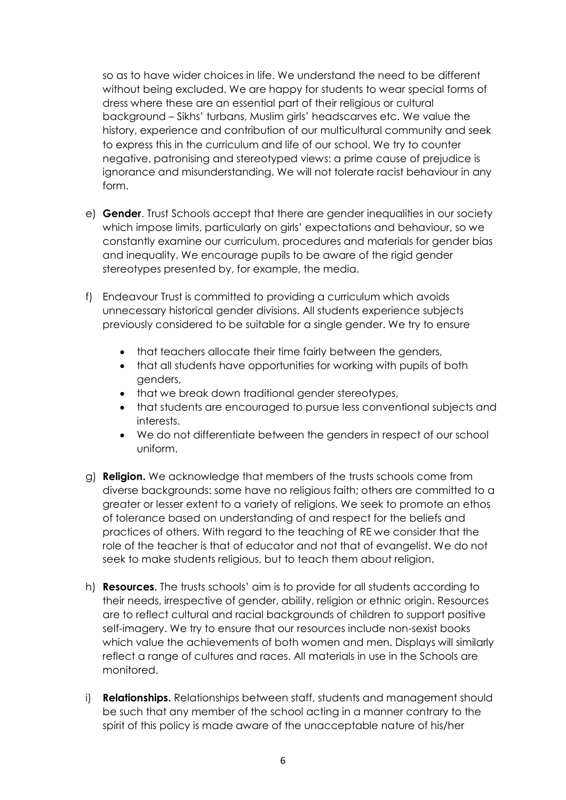so as to have wider choices in life. We understand the need to be different without being excluded. We are happy for students to wear special forms of dress where these are an essential part of their religious or cultural background – Sikhs' turbans, Muslim girls' headscarves etc. We value the history, experience and contribution of our multicultural community and seek to express this in the curriculum and life of our school. We try to counter negative, patronising and stereotyped views: a prime cause of prejudice is ignorance and misunderstanding. We will not tolerate racist behaviour in any form.

- e) **Gender**. Trust Schools accept that there are gender inequalities in our society which impose limits, particularly on girls' expectations and behaviour, so we constantly examine our curriculum, procedures and materials for gender bias and inequality. We encourage pupils to be aware of the rigid gender stereotypes presented by, for example, the media.
- f) Endeavour Trust is committed to providing a curriculum which avoids unnecessary historical gender divisions. All students experience subjects previously considered to be suitable for a single gender. We try to ensure
	- that teachers allocate their time fairly between the genders,
	- that all students have opportunities for working with pupils of both genders,
	- that we break down traditional gender stereotypes,
	- that students are encouraged to pursue less conventional subjects and interests.
	- We do not differentiate between the genders in respect of our school uniform.
- g) **Religion.** We acknowledge that members of the trusts schools come from diverse backgrounds: some have no religious faith; others are committed to a greater or lesser extent to a variety of religions. We seek to promote an ethos of tolerance based on understanding of and respect for the beliefs and practices of others. With regard to the teaching of RE we consider that the role of the teacher is that of educator and not that of evangelist. We do not seek to make students religious, but to teach them about religion.
- h) **Resources**. The trusts schools' aim is to provide for all students according to their needs, irrespective of gender, ability, religion or ethnic origin. Resources are to reflect cultural and racial backgrounds of children to support positive self-imagery. We try to ensure that our resources include non-sexist books which value the achievements of both women and men. Displays will similarly reflect a range of cultures and races. All materials in use in the Schools are monitored.
- i) **Relationships.** Relationships between staff, students and management should be such that any member of the school acting in a manner contrary to the spirit of this policy is made aware of the unacceptable nature of his/her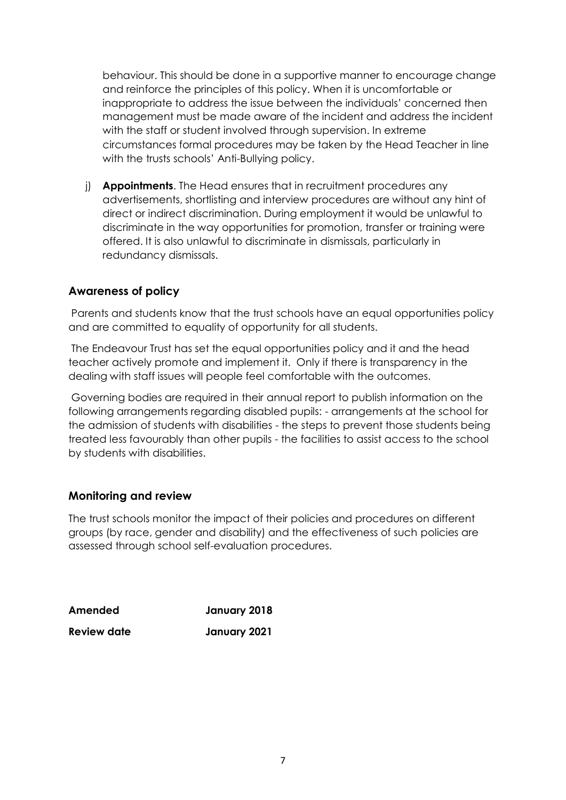behaviour. This should be done in a supportive manner to encourage change and reinforce the principles of this policy. When it is uncomfortable or inappropriate to address the issue between the individuals' concerned then management must be made aware of the incident and address the incident with the staff or student involved through supervision. In extreme circumstances formal procedures may be taken by the Head Teacher in line with the trusts schools' Anti-Bullying policy.

j) **Appointments**. The Head ensures that in recruitment procedures any advertisements, shortlisting and interview procedures are without any hint of direct or indirect discrimination. During employment it would be unlawful to discriminate in the way opportunities for promotion, transfer or training were offered. It is also unlawful to discriminate in dismissals, particularly in redundancy dismissals.

#### **Awareness of policy**

Parents and students know that the trust schools have an equal opportunities policy and are committed to equality of opportunity for all students.

The Endeavour Trust has set the equal opportunities policy and it and the head teacher actively promote and implement it. Only if there is transparency in the dealing with staff issues will people feel comfortable with the outcomes.

Governing bodies are required in their annual report to publish information on the following arrangements regarding disabled pupils: - arrangements at the school for the admission of students with disabilities - the steps to prevent those students being treated less favourably than other pupils - the facilities to assist access to the school by students with disabilities.

#### **Monitoring and review**

The trust schools monitor the impact of their policies and procedures on different groups (by race, gender and disability) and the effectiveness of such policies are assessed through school self-evaluation procedures.

| Amended            | January 2018 |
|--------------------|--------------|
| <b>Review date</b> | January 2021 |